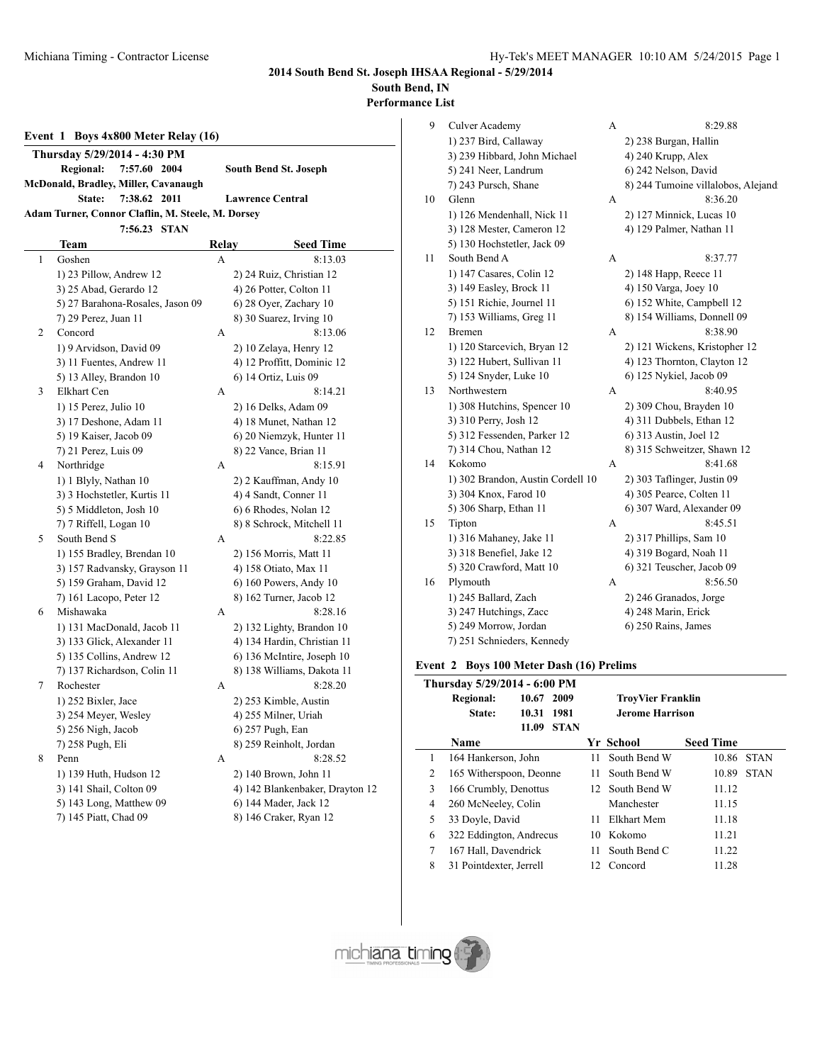**2014 South Bend St. Joseph IHSAA Regional - 5/29/2014**

**South Bend, IN**

**Performance List**

|  |  | Event 1 Boys 4x800 Meter Relay (16) |  |
|--|--|-------------------------------------|--|
|  |  |                                     |  |

- **Regional: 7:57.60 2004 South Bend St. Joseph**
- **McDonald, Bradley, Miller, Cavanaugh**
	- **State: 7:38.62 2011 Lawrence Central**
- **Adam Turner, Connor Claflin, M. Steele, M. Dorsey**

#### **7:56.23 STAN**

|              | Team                             | Relay | <b>Seed Time</b>                |
|--------------|----------------------------------|-------|---------------------------------|
| $\mathbf{1}$ | Goshen                           | A     | 8:13.03                         |
|              | 1) 23 Pillow, Andrew 12          |       | 2) 24 Ruiz, Christian 12        |
|              | 3) 25 Abad, Gerardo 12           |       | 4) 26 Potter, Colton 11         |
|              | 5) 27 Barahona-Rosales, Jason 09 |       | 6) 28 Oyer, Zachary 10          |
|              | 7) 29 Perez, Juan 11             |       | 8) 30 Suarez, Irving 10         |
| 2            | Concord                          | A     | 8:13.06                         |
|              | 1) 9 Arvidson, David 09          |       | 2) 10 Zelaya, Henry 12          |
|              | 3) 11 Fuentes, Andrew 11         |       | 4) 12 Proffitt, Dominic 12      |
|              | 5) 13 Alley, Brandon 10          |       | 6) 14 Ortiz, Luis 09            |
| 3            | Elkhart Cen                      | A     | 8:14.21                         |
|              | 1) 15 Perez, Julio 10            |       | 2) 16 Delks, Adam 09            |
|              | 3) 17 Deshone, Adam 11           |       | 4) 18 Munet, Nathan 12          |
|              | 5) 19 Kaiser, Jacob 09           |       | 6) 20 Niemzyk, Hunter 11        |
|              | 7) 21 Perez, Luis 09             |       | 8) 22 Vance, Brian 11           |
| 4            | Northridge                       | A     | 8:15.91                         |
|              | 1) 1 Blyly, Nathan 10            |       | 2) 2 Kauffman, Andy 10          |
|              | 3) 3 Hochstetler, Kurtis 11      |       | 4) 4 Sandt, Conner 11           |
|              | 5) 5 Middleton, Josh 10          |       | 6) 6 Rhodes, Nolan 12           |
|              | 7) 7 Riffell, Logan 10           |       | 8) 8 Schrock, Mitchell 11       |
| 5            | South Bend S                     | A     | 8:22.85                         |
|              | 1) 155 Bradley, Brendan 10       |       | 2) 156 Morris, Matt 11          |
|              | 3) 157 Radvansky, Grayson 11     |       | 4) 158 Otiato, Max 11           |
|              | 5) 159 Graham, David 12          |       | 6) 160 Powers, Andy 10          |
|              | 7) 161 Lacopo, Peter 12          |       | 8) 162 Turner, Jacob 12         |
| 6            | Mishawaka                        | A     | 8:28.16                         |
|              | 1) 131 MacDonald, Jacob 11       |       | 2) 132 Lighty, Brandon 10       |
|              | 3) 133 Glick, Alexander 11       |       | 4) 134 Hardin, Christian 11     |
|              | 5) 135 Collins, Andrew 12        |       | 6) 136 McIntire, Joseph 10      |
|              | 7) 137 Richardson, Colin 11      |       | 8) 138 Williams, Dakota 11      |
| 7            | Rochester                        | A     | 8:28.20                         |
|              | 1) 252 Bixler, Jace              |       | 2) 253 Kimble, Austin           |
|              | 3) 254 Meyer, Wesley             |       | 4) 255 Milner, Uriah            |
|              | 5) 256 Nigh, Jacob               |       | 6) 257 Pugh, Ean                |
|              | 7) 258 Pugh, Eli                 |       | 8) 259 Reinholt, Jordan         |
| 8            | Penn                             | А     | 8:28.52                         |
|              | 1) 139 Huth, Hudson 12           |       | 2) 140 Brown, John 11           |
|              | 3) 141 Shail, Colton 09          |       | 4) 142 Blankenbaker, Drayton 12 |
|              | 5) 143 Long, Matthew 09          |       | 6) 144 Mader, Jack 12           |
|              | 7) 145 Piatt, Chad 09            |       | 8) 146 Craker, Ryan 12          |

| 9  | Culver Academy                    | А | 8:29.88                            |
|----|-----------------------------------|---|------------------------------------|
|    | 1) 237 Bird, Callaway             |   | 2) 238 Burgan, Hallin              |
|    | 3) 239 Hibbard, John Michael      |   | 4) 240 Krupp, Alex                 |
|    | 5) 241 Neer, Landrum              |   | 6) 242 Nelson, David               |
|    | 7) 243 Pursch, Shane              |   | 8) 244 Tumoine villalobos, Alejand |
| 10 | Glenn                             | A | 8:36.20                            |
|    | 1) 126 Mendenhall, Nick 11        |   | 2) 127 Minnick, Lucas 10           |
|    | 3) 128 Mester, Cameron 12         |   | 4) 129 Palmer, Nathan 11           |
|    | 5) 130 Hochstetler, Jack 09       |   |                                    |
| 11 | South Bend A                      | A | 8:37.77                            |
|    | 1) 147 Casares, Colin 12          |   | 2) 148 Happ, Reece 11              |
|    | 3) 149 Easley, Brock 11           |   | 4) 150 Varga, Joey 10              |
|    | 5) 151 Richie, Journel 11         |   | 6) 152 White, Campbell 12          |
|    | 7) 153 Williams, Greg 11          |   | 8) 154 Williams, Donnell 09        |
| 12 | Bremen                            | A | 8:38.90                            |
|    | 1) 120 Starcevich, Bryan 12       |   | 2) 121 Wickens, Kristopher 12      |
|    | 3) 122 Hubert, Sullivan 11        |   | 4) 123 Thornton, Clayton 12        |
|    | 5) 124 Snyder, Luke 10            |   | 6) 125 Nykiel, Jacob 09            |
| 13 | Northwestern                      | A | 8:40.95                            |
|    | 1) 308 Hutchins, Spencer 10       |   | 2) 309 Chou, Brayden 10            |
|    | 3) 310 Perry, Josh 12             |   | 4) 311 Dubbels, Ethan 12           |
|    | 5) 312 Fessenden, Parker 12       |   | 6) 313 Austin, Joel 12             |
|    | 7) 314 Chou, Nathan 12            |   | 8) 315 Schweitzer, Shawn 12        |
| 14 | Kokomo                            | А | 8:41.68                            |
|    | 1) 302 Brandon, Austin Cordell 10 |   | 2) 303 Taflinger, Justin 09        |
|    | 3) 304 Knox, Farod 10             |   | 4) 305 Pearce, Colten 11           |
|    | 5) 306 Sharp, Ethan 11            |   | 6) 307 Ward, Alexander 09          |
| 15 | Tipton                            | A | 8:45.51                            |
|    | 1) 316 Mahaney, Jake 11           |   | 2) 317 Phillips, Sam 10            |
|    | 3) 318 Benefiel, Jake 12          |   | 4) 319 Bogard, Noah 11             |
|    | 5) 320 Crawford, Matt 10          |   | 6) 321 Teuscher, Jacob 09          |
| 16 | Plymouth                          | A | 8:56.50                            |
|    | 1) 245 Ballard, Zach              |   | 2) 246 Granados, Jorge             |
|    | 3) 247 Hutchings, Zacc            |   | 4) 248 Marin, Erick                |
|    | 5) 249 Morrow, Jordan             |   | 6) 250 Rains, James                |
|    | 7) 251 Schnieders, Kennedy        |   |                                    |

#### **Event 2 Boys 100 Meter Dash (16) Prelims**

| Thursday 5/29/2014 - 6:00 PM |                         |            |             |                          |                 |                  |             |  |
|------------------------------|-------------------------|------------|-------------|--------------------------|-----------------|------------------|-------------|--|
|                              | <b>Regional:</b>        | 10.67      | 2009        | <b>TroyVier Franklin</b> |                 |                  |             |  |
|                              | State:                  | 10.31 1981 |             | <b>Jerome Harrison</b>   |                 |                  |             |  |
|                              | Name                    | 11.09      | <b>STAN</b> |                          | Yr School       | <b>Seed Time</b> |             |  |
| 1                            | 164 Hankerson, John     |            |             | 11.                      | South Bend W    | 10.86            | <b>STAN</b> |  |
| 2                            | 165 Witherspoon, Deonne |            |             | 11.                      | South Bend W    | 10.89            | <b>STAN</b> |  |
| 3                            | 166 Crumbly, Denottus   |            |             |                          | 12 South Bend W | 11.12            |             |  |
| 4                            | 260 McNeeley, Colin     |            |             |                          | Manchester      | 11.15            |             |  |
| 5                            | 33 Doyle, David         |            |             | 11                       | Elkhart Mem     | 11.18            |             |  |
| 6                            | 322 Eddington, Andrecus |            |             | 10                       | Kokomo          | 11.21            |             |  |
| $\tau$                       | 167 Hall, Davendrick    |            |             | 11                       | South Bend C    | 11.22            |             |  |
| 8                            | 31 Pointdexter, Jerrell |            |             | 12                       | Concord         | 11.28            |             |  |

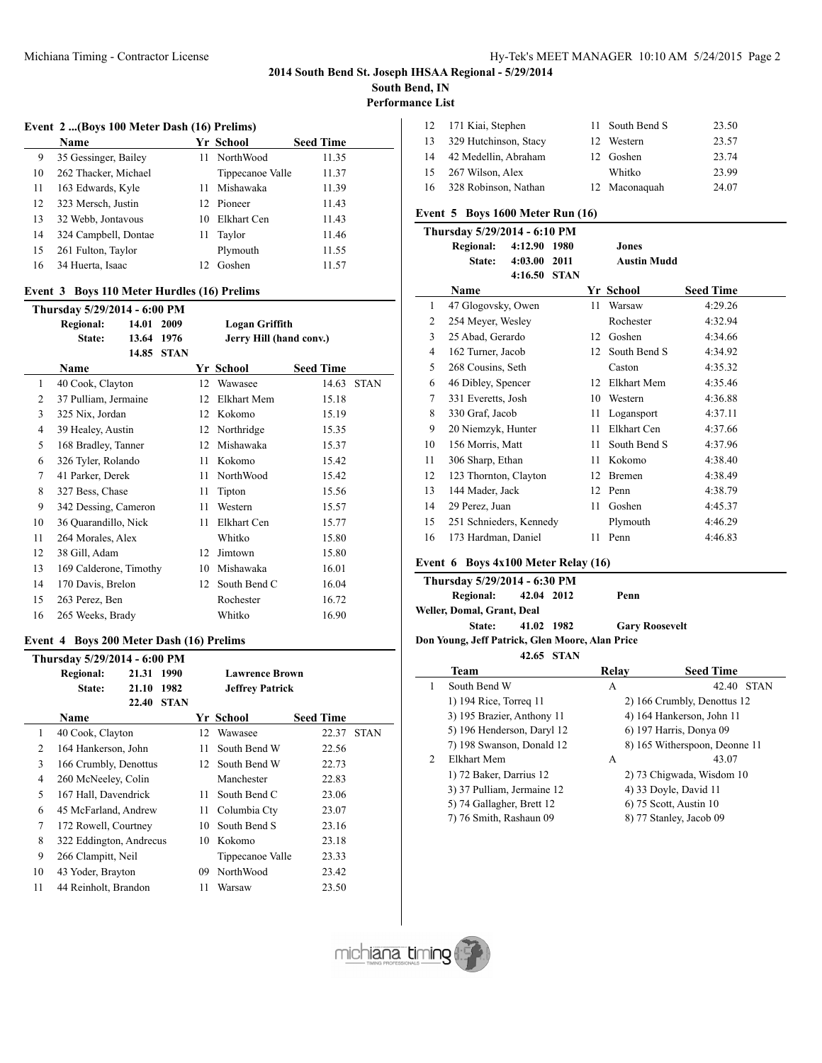#### Michiana Timing - Contractor License The Michiana Timing - Contractor License Hy-Tek's MEET MANAGER 10:10 AM 5/24/2015 Page 2

# **2014 South Bend St. Joseph IHSAA Regional - 5/29/2014**

**South Bend, IN**

**Performance List**

#### **Event 2 ...(Boys 100 Meter Dash (16) Prelims)**

|    | <b>Name</b>          |    | Yr School        | <b>Seed Time</b> |
|----|----------------------|----|------------------|------------------|
| 9  | 35 Gessinger, Bailey |    | 11 NorthWood     | 11.35            |
| 10 | 262 Thacker, Michael |    | Tippecanoe Valle | 11.37            |
| 11 | 163 Edwards, Kyle    | 11 | Mishawaka        | 11.39            |
| 12 | 323 Mersch, Justin   |    | 12 Pioneer       | 11.43            |
| 13 | 32 Webb, Jontavous   | 10 | Elkhart Cen      | 11.43            |
| 14 | 324 Campbell, Dontae | 11 | Taylor           | 11.46            |
| 15 | 261 Fulton, Taylor   |    | Plymouth         | 11.55            |
| 16 | 34 Huerta, Isaac     | 12 | Goshen           | 11.57            |

# **Event 3 Boys 110 Meter Hurdles (16) Prelims**

| Thursday 5/29/2014 - 6:00 PM |                        |       |             |                         |                       |                  |             |  |  |
|------------------------------|------------------------|-------|-------------|-------------------------|-----------------------|------------------|-------------|--|--|
|                              | <b>Regional:</b>       | 14.01 | 2009        |                         | <b>Logan Griffith</b> |                  |             |  |  |
|                              | State:                 | 13.64 | 1976        | Jerry Hill (hand conv.) |                       |                  |             |  |  |
|                              |                        | 14.85 | <b>STAN</b> |                         |                       |                  |             |  |  |
|                              | Name                   |       |             |                         | Yr School             | <b>Seed Time</b> |             |  |  |
| 1                            | 40 Cook, Clayton       |       |             | 12                      | Wawasee               | 14.63            | <b>STAN</b> |  |  |
| 2                            | 37 Pulliam, Jermaine   |       |             | 12                      | Elkhart Mem           | 15.18            |             |  |  |
| 3                            | 325 Nix, Jordan        |       |             | 12                      | Kokomo                | 15.19            |             |  |  |
| 4                            | 39 Healey, Austin      |       |             | 12                      | Northridge            | 15.35            |             |  |  |
| 5                            | 168 Bradley, Tanner    |       |             | 12                      | Mishawaka             | 15.37            |             |  |  |
| 6                            | 326 Tyler, Rolando     |       |             | 11                      | Kokomo                | 15.42            |             |  |  |
| 7                            | 41 Parker, Derek       |       |             | 11                      | NorthWood             | 15.42            |             |  |  |
| 8                            | 327 Bess, Chase        |       |             | 11                      | Tipton                | 15.56            |             |  |  |
| 9                            | 342 Dessing, Cameron   |       |             | 11                      | Western               | 15.57            |             |  |  |
| 10                           | 36 Quarandillo, Nick   |       |             | 11                      | Elkhart Cen           | 15.77            |             |  |  |
| 11                           | 264 Morales, Alex      |       |             |                         | Whitko                | 15.80            |             |  |  |
| 12                           | 38 Gill, Adam          |       |             | 12                      | Jimtown               | 15.80            |             |  |  |
| 13                           | 169 Calderone, Timothy |       |             | 10                      | Mishawaka             | 16.01            |             |  |  |
| 14                           | 170 Davis, Brelon      |       |             | 12                      | South Bend C          | 16.04            |             |  |  |
| 15                           | 263 Perez, Ben         |       |             |                         | Rochester             | 16.72            |             |  |  |
| 16                           | 265 Weeks, Brady       |       |             |                         | Whitko                | 16.90            |             |  |  |

#### **Event 4 Boys 200 Meter Dash (16) Prelims**

|    | Thursday 5/29/2014 - 6:00 PM |       |             |                       |                        |                  |             |  |  |
|----|------------------------------|-------|-------------|-----------------------|------------------------|------------------|-------------|--|--|
|    | <b>Regional:</b>             | 21.31 | 1990        | <b>Lawrence Brown</b> |                        |                  |             |  |  |
|    | State:                       | 21.10 | 1982        |                       | <b>Jeffrey Patrick</b> |                  |             |  |  |
|    |                              | 22.40 | <b>STAN</b> |                       |                        |                  |             |  |  |
|    | Name                         |       |             |                       | Yr School              | <b>Seed Time</b> |             |  |  |
| 1  | 40 Cook, Clayton             |       |             | 12                    | Wawasee                | 22.37            | <b>STAN</b> |  |  |
| 2  | 164 Hankerson, John          |       |             | 11                    | South Bend W           | 22.56            |             |  |  |
| 3  | 166 Crumbly, Denottus        |       |             | 12                    | South Bend W           | 22.73            |             |  |  |
| 4  | 260 McNeeley, Colin          |       |             |                       | Manchester             | 22.83            |             |  |  |
| 5  | 167 Hall, Davendrick         |       |             | 11                    | South Bend C           | 23.06            |             |  |  |
| 6  | 45 McFarland, Andrew         |       |             | 11 -                  | Columbia Cty           | 23.07            |             |  |  |
| 7  | 172 Rowell, Courtney         |       |             | 10                    | South Bend S           | 23.16            |             |  |  |
| 8  | 322 Eddington, Andrecus      |       |             | 10                    | Kokomo                 | 23.18            |             |  |  |
| 9  | 266 Clampitt, Neil           |       |             |                       | Tippecanoe Valle       | 23.33            |             |  |  |
| 10 | 43 Yoder, Brayton            |       |             | 09                    | NorthWood              | 23.42            |             |  |  |
| 11 | 44 Reinholt, Brandon         |       |             | 11                    | Warsaw                 | 23.50            |             |  |  |
|    |                              |       |             |                       |                        |                  |             |  |  |

| 12 | 171 Kiai, Stephen        | 11 South Bend S | 23.50 |
|----|--------------------------|-----------------|-------|
|    | 13 329 Hutchinson, Stacy | 12 Western      | 23.57 |
| 14 | 42 Medellin, Abraham     | 12 Goshen       | 23.74 |
|    | 15 267 Wilson, Alex      | Whitko          | 23.99 |
|    | 16 328 Robinson, Nathan  | 12 Maconaguah   | 24.07 |

# **Event 5 Boys 1600 Meter Run (16)**

|                | Thursday 5/29/2014 - 6:10 PM |         |             |                    |              |                  |  |
|----------------|------------------------------|---------|-------------|--------------------|--------------|------------------|--|
|                | <b>Regional:</b>             | 4:12.90 | 1980        |                    | Jones        |                  |  |
|                | State:                       | 4:03.00 | 2011        | <b>Austin Mudd</b> |              |                  |  |
|                |                              | 4:16.50 | <b>STAN</b> |                    |              |                  |  |
|                | Name                         |         |             |                    | Yr School    | <b>Seed Time</b> |  |
| 1              | 47 Glogovsky, Owen           |         |             | 11                 | Warsaw       | 4:29.26          |  |
| $\overline{2}$ | 254 Meyer, Wesley            |         |             |                    | Rochester    | 4:32.94          |  |
| 3              | 25 Abad, Gerardo             |         |             | 12                 | Goshen       | 4:34.66          |  |
| 4              | 162 Turner, Jacob            |         |             | 12                 | South Bend S | 4:34.92          |  |
| 5              | 268 Cousins, Seth            |         |             |                    | Caston       | 4:35.32          |  |
| 6              | 46 Dibley, Spencer           |         |             | 12                 | Elkhart Mem  | 4:35.46          |  |
| 7              | 331 Everetts, Josh           |         |             | 10                 | Western      | 4:36.88          |  |
| 8              | 330 Graf, Jacob              |         |             | 11                 | Logansport   | 4:37.11          |  |
| 9              | 20 Niemzyk, Hunter           |         |             | 11                 | Elkhart Cen  | 4:37.66          |  |
| 10             | 156 Morris, Matt             |         |             | 11                 | South Bend S | 4:37.96          |  |
| 11             | 306 Sharp, Ethan             |         |             | 11                 | Kokomo       | 4:38.40          |  |
| 12             | 123 Thornton, Clayton        |         |             | 12                 | Bremen       | 4:38.49          |  |
| 13             | 144 Mader, Jack              |         |             | 12                 | Penn         | 4:38.79          |  |
| 14             | 29 Perez, Juan               |         |             | 11                 | Goshen       | 4:45.37          |  |
| 15             | 251 Schnieders, Kennedy      |         |             |                    | Plymouth     | 4:46.29          |  |
| 16             | 173 Hardman, Daniel          |         |             | 11                 | Penn         | 4:46.83          |  |

# **Event 6 Boys 4x100 Meter Relay (16)**

| Thursday 5/29/2014 - 6:30 PM                    |  |            |                       |  |  |  |  |
|-------------------------------------------------|--|------------|-----------------------|--|--|--|--|
| Regional: 42.04 2012                            |  |            | Penn                  |  |  |  |  |
| Weller, Domal, Grant, Deal                      |  |            |                       |  |  |  |  |
| State: 41.02 1982                               |  |            | <b>Gary Roosevelt</b> |  |  |  |  |
| Don Young, Jeff Patrick, Glen Moore, Alan Price |  |            |                       |  |  |  |  |
|                                                 |  | 42.65 STAN |                       |  |  |  |  |

|   | Team                       | Relav | <b>Seed Time</b>              |
|---|----------------------------|-------|-------------------------------|
|   | South Bend W               | А     | <b>STAN</b><br>42.40          |
|   | 1) 194 Rice, Torreg 11     |       | 2) 166 Crumbly, Denottus 12   |
|   | 3) 195 Brazier, Anthony 11 |       | 4) 164 Hankerson, John 11     |
|   | 5) 196 Henderson, Daryl 12 |       | 6) 197 Harris, Donya 09       |
|   | 7) 198 Swanson, Donald 12  |       | 8) 165 Witherspoon, Deonne 11 |
| 2 | Elkhart Mem                | А     | 43.07                         |
|   | 1) 72 Baker, Darrius 12    |       | 2) 73 Chigwada, Wisdom 10     |
|   | 3) 37 Pulliam, Jermaine 12 |       | 4) 33 Doyle, David 11         |
|   | 5) 74 Gallagher, Brett 12  |       | 6) 75 Scott, Austin 10        |
|   | 7) 76 Smith, Rashaun 09    |       | 8) 77 Stanley, Jacob 09       |

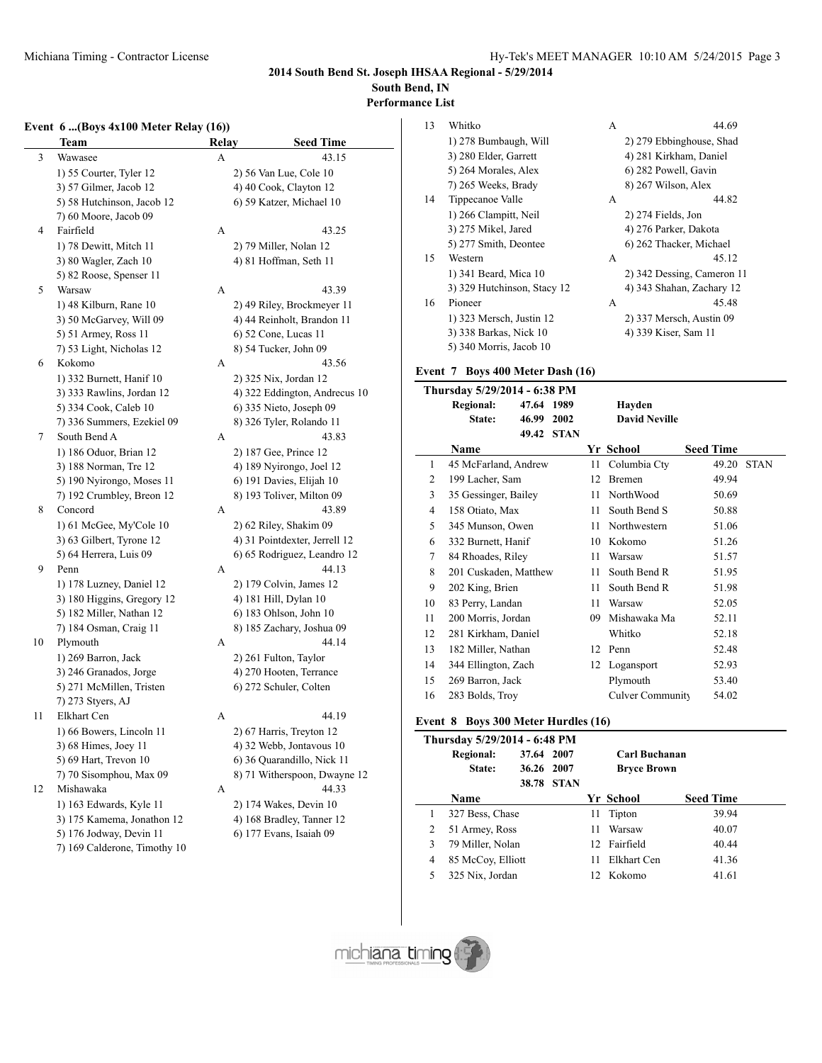### **2014 South Bend St. Joseph IHSAA Regional - 5/29/2014 South Bend, IN**

**Performance List**

J.

#### **Event 6 ...(Boys 4x100 Meter Relay (16))**

|    | <b>Team</b>                  | Relay | <b>Seed Time</b>              |
|----|------------------------------|-------|-------------------------------|
| 3  | Wawasee                      | А     | 43.15                         |
|    | 1) 55 Courter, Tyler 12      |       | 2) 56 Van Lue, Cole 10        |
|    | 3) 57 Gilmer, Jacob 12       |       | 4) 40 Cook, Clayton 12        |
|    | 5) 58 Hutchinson, Jacob 12   |       | 6) 59 Katzer, Michael 10      |
|    | 7) 60 Moore, Jacob 09        |       |                               |
| 4  | Fairfield                    | А     | 43.25                         |
|    | 1) 78 Dewitt, Mitch 11       |       | 2) 79 Miller, Nolan 12        |
|    | 3) 80 Wagler, Zach 10        |       | 4) 81 Hoffman, Seth 11        |
|    | 5) 82 Roose, Spenser 11      |       |                               |
| 5  | Warsaw                       | A     | 43.39                         |
|    | 1) 48 Kilburn, Rane 10       |       | 2) 49 Riley, Brockmeyer 11    |
|    | 3) 50 McGarvey, Will 09      |       | 4) 44 Reinholt, Brandon 11    |
|    | 5) 51 Armey, Ross 11         |       | 6) 52 Cone, Lucas 11          |
|    | 7) 53 Light, Nicholas 12     |       | 8) 54 Tucker, John 09         |
| 6  | Kokomo                       | А     | 43.56                         |
|    | 1) 332 Burnett, Hanif 10     |       | 2) 325 Nix, Jordan 12         |
|    | 3) 333 Rawlins, Jordan 12    |       | 4) 322 Eddington, Andrecus 10 |
|    | 5) 334 Cook, Caleb 10        |       | 6) 335 Nieto, Joseph 09       |
|    | 7) 336 Summers, Ezekiel 09   |       | 8) 326 Tyler, Rolando 11      |
| 7  | South Bend A                 | А     | 43.83                         |
|    | 1) 186 Oduor, Brian 12       |       | 2) 187 Gee, Prince 12         |
|    | 3) 188 Norman, Tre 12        |       | 4) 189 Nyirongo, Joel 12      |
|    | 5) 190 Nyirongo, Moses 11    |       | 6) 191 Davies, Elijah 10      |
|    | 7) 192 Crumbley, Breon 12    |       | 8) 193 Toliver, Milton 09     |
| 8  | Concord                      | А     | 43.89                         |
|    | 1) 61 McGee, My'Cole 10      |       | 2) 62 Riley, Shakim 09        |
|    | 3) 63 Gilbert, Tyrone 12     |       | 4) 31 Pointdexter, Jerrell 12 |
|    | 5) 64 Herrera, Luis 09       |       | 6) 65 Rodriguez, Leandro 12   |
| 9  | Penn                         | А     | 44.13                         |
|    | 1) 178 Luzney, Daniel 12     |       | 2) 179 Colvin, James 12       |
|    | 3) 180 Higgins, Gregory 12   |       | 4) 181 Hill, Dylan 10         |
|    | 5) 182 Miller, Nathan 12     |       | 6) 183 Ohlson, John 10        |
|    | 7) 184 Osman, Craig 11       |       | 8) 185 Zachary, Joshua 09     |
| 10 | Plymouth                     | A     | 44.14                         |
|    | 1) 269 Barron, Jack          |       | 2) 261 Fulton, Taylor         |
|    | 3) 246 Granados, Jorge       |       | 4) 270 Hooten, Terrance       |
|    | 5) 271 McMillen, Tristen     |       | 6) 272 Schuler, Colten        |
|    | 7) 273 Styers, AJ            |       |                               |
| 11 | Elkhart Cen                  | A     | 44.19                         |
|    | 1) 66 Bowers, Lincoln 11     |       | 2) 67 Harris, Treyton 12      |
|    | 3) 68 Himes, Joey 11         |       | 4) 32 Webb, Jontavous 10      |
|    | 5) 69 Hart, Trevon 10        |       | 6) 36 Quarandillo, Nick 11    |
|    | 7) 70 Sisomphou, Max 09      |       | 8) 71 Witherspoon, Dwayne 12  |
| 12 | Mishawaka                    | А     | 44.33                         |
|    | 1) 163 Edwards, Kyle 11      |       | 2) 174 Wakes, Devin 10        |
|    | 3) 175 Kamema, Jonathon 12   |       | 4) 168 Bradley, Tanner 12     |
|    | 5) 176 Jodway, Devin 11      |       | 6) 177 Evans, Isaiah 09       |
|    | 7) 169 Calderone, Timothy 10 |       |                               |

| 13 | Whitko                      | A | 44.69                      |
|----|-----------------------------|---|----------------------------|
|    | 1) 278 Bumbaugh, Will       |   | 2) 279 Ebbinghouse, Shad   |
|    | 3) 280 Elder, Garrett       |   | 4) 281 Kirkham, Daniel     |
|    | 5) 264 Morales, Alex        |   | 6) 282 Powell, Gavin       |
|    | 7) 265 Weeks, Brady         |   | 8) 267 Wilson, Alex        |
| 14 | Tippecanoe Valle            | A | 44.82                      |
|    | 1) 266 Clampitt, Neil       |   | $2)$ 274 Fields, Jon       |
|    | 3) 275 Mikel, Jared         |   | 4) 276 Parker, Dakota      |
|    | 5) 277 Smith, Deontee       |   | 6) 262 Thacker, Michael    |
| 15 | Western                     | A | 45.12                      |
|    | 1) 341 Beard, Mica 10       |   | 2) 342 Dessing, Cameron 11 |
|    | 3) 329 Hutchinson, Stacy 12 |   | 4) 343 Shahan, Zachary 12  |
| 16 | Pioneer                     | A | 45.48                      |
|    | 1) 323 Mersch, Justin 12    |   | 2) 337 Mersch, Austin 09   |
|    | 3) 338 Barkas, Nick 10      |   | 4) 339 Kiser, Sam 11       |
|    | 5) 340 Morris, Jacob 10     |   |                            |

#### **Event 7 Boys 400 Meter Dash (16)**

|    | Thursday 5/29/2014 - 6:38 PM |            |             |    |                      |                  |             |
|----|------------------------------|------------|-------------|----|----------------------|------------------|-------------|
|    | <b>Regional:</b>             | 47.64 1989 |             |    | Hayden               |                  |             |
|    | State:                       | 46.99      | 2002        |    | <b>David Neville</b> |                  |             |
|    |                              | 49.42      | <b>STAN</b> |    |                      |                  |             |
|    | <b>Name</b>                  |            |             |    | Yr School            | <b>Seed Time</b> |             |
| 1  | 45 McFarland, Andrew         |            |             | 11 | Columbia Cty         | 49.20            | <b>STAN</b> |
| 2  | 199 Lacher, Sam              |            |             | 12 | <b>Bremen</b>        | 49.94            |             |
| 3  | 35 Gessinger, Bailey         |            |             | 11 | NorthWood            | 50.69            |             |
| 4  | 158 Otiato, Max              |            |             | 11 | South Bend S         | 50.88            |             |
| 5  | 345 Munson, Owen             |            |             | 11 | Northwestern         | 51.06            |             |
| 6  | 332 Burnett, Hanif           |            |             | 10 | Kokomo               | 51.26            |             |
| 7  | 84 Rhoades, Riley            |            |             | 11 | Warsaw               | 51.57            |             |
| 8  | 201 Cuskaden, Matthew        |            |             | 11 | South Bend R         | 51.95            |             |
| 9  | 202 King, Brien              |            |             | 11 | South Bend R         | 51.98            |             |
| 10 | 83 Perry, Landan             |            |             | 11 | Warsaw               | 52.05            |             |
| 11 | 200 Morris, Jordan           |            |             | 09 | Mishawaka Ma         | 52.11            |             |
| 12 | 281 Kirkham, Daniel          |            |             |    | Whitko               | 52.18            |             |
| 13 | 182 Miller, Nathan           |            |             | 12 | Penn                 | 52.48            |             |
| 14 | 344 Ellington, Zach          |            |             | 12 | Logansport           | 52.93            |             |
| 15 | 269 Barron, Jack             |            |             |    | Plymouth             | 53.40            |             |
| 16 | 283 Bolds, Troy              |            |             |    | Culver Community     | 54.02            |             |
|    |                              |            |             |    |                      |                  |             |

# **Event 8 Boys 300 Meter Hurdles (16)**

| Thursday 5/29/2014 - 6:48 PM |                   |            |            |     |                    |                  |  |  |
|------------------------------|-------------------|------------|------------|-----|--------------------|------------------|--|--|
|                              | <b>Regional:</b>  | 37.64 2007 |            |     | Carl Buchanan      |                  |  |  |
|                              | State:            | 36.26 2007 |            |     | <b>Bryce Brown</b> |                  |  |  |
|                              |                   |            | 38.78 STAN |     |                    |                  |  |  |
|                              | Name              |            |            |     | Yr School          | <b>Seed Time</b> |  |  |
|                              | 327 Bess, Chase   |            |            | 11  | Tipton             | 39.94            |  |  |
| 2                            | 51 Armey, Ross    |            |            | 11  | Warsaw             | 40.07            |  |  |
| 3                            | 79 Miller, Nolan  |            |            |     | 12 Fairfield       | 40.44            |  |  |
| 4                            | 85 McCoy, Elliott |            |            | 11  | Elkhart Cen        | 41.36            |  |  |
| 5                            | 325 Nix, Jordan   |            |            | 12. | Kokomo             | 41.61            |  |  |

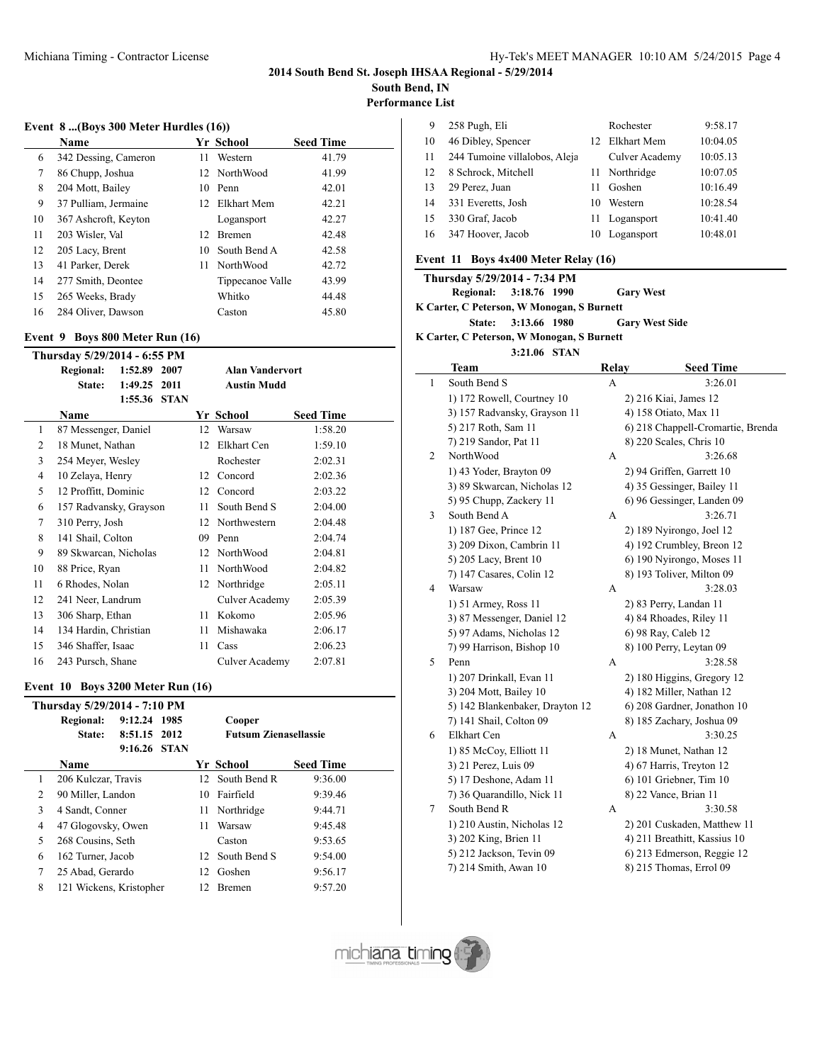# **2014 South Bend St. Joseph IHSAA Regional - 5/29/2014**

**South Bend, IN**

**Performance List**

#### **Event 8 ...(Boys 300 Meter Hurdles (16))**

|    | Name                 |    | Yr School        | <b>Seed Time</b> |
|----|----------------------|----|------------------|------------------|
| 6  | 342 Dessing, Cameron | 11 | Western          | 41.79            |
| 7  | 86 Chupp, Joshua     |    | 12 NorthWood     | 41.99            |
| 8  | 204 Mott, Bailey     |    | 10 Penn          | 42.01            |
| 9  | 37 Pulliam, Jermaine |    | 12 Elkhart Mem   | 42.21            |
| 10 | 367 Ashcroft, Keyton |    | Logansport       | 42.27            |
| 11 | 203 Wisler, Val      | 12 | Bremen           | 42.48            |
| 12 | 205 Lacy, Brent      | 10 | South Bend A     | 42.58            |
| 13 | 41 Parker, Derek     | 11 | <b>NorthWood</b> | 42.72            |
| 14 | 277 Smith, Deontee   |    | Tippecanoe Valle | 43.99            |
| 15 | 265 Weeks, Brady     |    | Whitko           | 44.48            |
| 16 | 284 Oliver, Dawson   |    | Caston           | 45.80            |

#### **Event 9 Boys 800 Meter Run (16)**

|    | Thursday 5/29/2014 - 6:55 PM |         |             |    |                        |                  |  |  |
|----|------------------------------|---------|-------------|----|------------------------|------------------|--|--|
|    | <b>Regional:</b>             | 1:52.89 | 2007        |    | <b>Alan Vandervort</b> |                  |  |  |
|    | State:                       | 1:49.25 | 2011        |    | <b>Austin Mudd</b>     |                  |  |  |
|    |                              | 1:55.36 | <b>STAN</b> |    |                        |                  |  |  |
|    | <b>Name</b>                  |         |             |    | Yr School              | <b>Seed Time</b> |  |  |
| 1  | 87 Messenger, Daniel         |         |             | 12 | Warsaw                 | 1:58.20          |  |  |
| 2  | 18 Munet, Nathan             |         |             | 12 | Elkhart Cen            | 1:59.10          |  |  |
| 3  | 254 Meyer, Wesley            |         |             |    | Rochester              | 2:02.31          |  |  |
| 4  | 10 Zelaya, Henry             |         |             | 12 | Concord                | 2:02.36          |  |  |
| 5  | 12 Proffitt, Dominic         |         |             | 12 | Concord                | 2:03.22          |  |  |
| 6  | 157 Radvansky, Grayson       |         |             | 11 | South Bend S           | 2:04.00          |  |  |
| 7  | 310 Perry, Josh              |         |             | 12 | Northwestern           | 2:04.48          |  |  |
| 8  | 141 Shail, Colton            |         |             | 09 | Penn                   | 2:04.74          |  |  |
| 9  | 89 Skwarcan, Nicholas        |         |             | 12 | NorthWood              | 2:04.81          |  |  |
| 10 | 88 Price, Ryan               |         |             | 11 | NorthWood              | 2:04.82          |  |  |
| 11 | 6 Rhodes, Nolan              |         |             | 12 | Northridge             | 2:05.11          |  |  |
| 12 | 241 Neer, Landrum            |         |             |    | Culver Academy         | 2:05.39          |  |  |
| 13 | 306 Sharp, Ethan             |         |             | 11 | Kokomo                 | 2:05.96          |  |  |
| 14 | 134 Hardin, Christian        |         |             | 11 | Mishawaka              | 2:06.17          |  |  |
| 15 | 346 Shaffer, Isaac           |         |             | 11 | Cass                   | 2:06.23          |  |  |
| 16 | 243 Pursch, Shane            |         |             |    | Culver Academy         | 2:07.81          |  |  |

# **Event 10 Boys 3200 Meter Run (16)**

| Thursday 5/29/2014 - 7:10 PM |                         |              |      |    |                              |                  |  |
|------------------------------|-------------------------|--------------|------|----|------------------------------|------------------|--|
|                              | <b>Regional:</b>        | 9:12.24      | 1985 |    | Cooper                       |                  |  |
|                              | State:                  | 8:51.15 2012 |      |    | <b>Futsum Zienasellassie</b> |                  |  |
|                              |                         | 9:16.26 STAN |      |    |                              |                  |  |
|                              | Name                    |              |      |    | Yr School                    | <b>Seed Time</b> |  |
| 1                            | 206 Kulczar, Travis     |              |      |    | 12 South Bend R              | 9:36.00          |  |
| $\overline{c}$               | 90 Miller, Landon       |              |      | 10 | Fairfield                    | 9:39.46          |  |
| 3                            | 4 Sandt, Conner         |              |      | 11 | Northridge                   | 9:44.71          |  |
| 4                            | 47 Glogovsky, Owen      |              |      | 11 | Warsaw                       | 9:45.48          |  |
| 5                            | 268 Cousins, Seth       |              |      |    | Caston                       | 9:53.65          |  |
| 6                            | 162 Turner, Jacob       |              |      | 12 | South Bend S                 | 9:54.00          |  |
| 7                            | 25 Abad, Gerardo        |              |      | 12 | Goshen                       | 9:56.17          |  |
| 8                            | 121 Wickens, Kristopher |              |      | 12 | <b>Bremen</b>                | 9:57.20          |  |

| 9  | 258 Pugh, Eli                 |     | Rochester      | 9:58.17  |
|----|-------------------------------|-----|----------------|----------|
| 10 | 46 Dibley, Spencer            |     | 12 Elkhart Mem | 10:04.05 |
| 11 | 244 Tumoine villalobos, Aleja |     | Culver Academy | 10:05.13 |
| 12 | 8 Schrock, Mitchell           | 11. | Northridge     | 10:07.05 |
| 13 | 29 Perez, Juan                | 11  | Goshen         | 10:16.49 |
| 14 | 331 Everetts, Josh            | 10  | Western        | 10:28.54 |
| 15 | 330 Graf, Jacob               |     | 11 Logansport  | 10:41.40 |
| 16 | 347 Hoover, Jacob             | 10  | Logansport     | 10:48.01 |

#### **Event 11 Boys 4x400 Meter Relay (16)**

| Thursday 5/29/2014 - 7:34 PM               |                     |                       |                  |
|--------------------------------------------|---------------------|-----------------------|------------------|
| Regional: 3:18.76 1990                     |                     | <b>Gary West</b>      |                  |
| K Carter, C Peterson, W Monogan, S Burnett |                     |                       |                  |
|                                            | State: 3:13.66 1980 | <b>Gary West Side</b> |                  |
| K Carter, C Peterson, W Monogan, S Burnett |                     |                       |                  |
|                                            | 3:21.06 STAN        |                       |                  |
| Team                                       |                     | Relav                 | <b>Seed Time</b> |

|              |                                 | 111.14 | $\sqrt{2}$                        |
|--------------|---------------------------------|--------|-----------------------------------|
| $\mathbf{1}$ | South Bend S                    | А      | 3:26.01                           |
|              | 1) 172 Rowell, Courtney 10      |        | 2) 216 Kiai, James 12             |
|              | 3) 157 Radvansky, Grayson 11    |        | 4) 158 Otiato, Max 11             |
|              | 5) 217 Roth, Sam 11             |        | 6) 218 Chappell-Cromartie, Brenda |
|              | 7) 219 Sandor, Pat 11           |        | 8) 220 Scales, Chris 10           |
| 2            | NorthWood                       | А      | 3:26.68                           |
|              | 1) 43 Yoder, Brayton 09         |        | 2) 94 Griffen, Garrett 10         |
|              | 3) 89 Skwarcan, Nicholas 12     |        | 4) 35 Gessinger, Bailey 11        |
|              | 5) 95 Chupp, Zackery 11         |        | 6) 96 Gessinger, Landen 09        |
| 3            | South Bend A                    | А      | 3:26.71                           |
|              | 1) 187 Gee, Prince 12           |        | 2) 189 Nyirongo, Joel 12          |
|              | 3) 209 Dixon, Cambrin 11        |        | 4) 192 Crumbley, Breon 12         |
|              | 5) 205 Lacy, Brent 10           |        | 6) 190 Nyirongo, Moses 11         |
|              | 7) 147 Casares, Colin 12        |        | 8) 193 Toliver, Milton 09         |
| 4            | Warsaw                          | А      | 3:28.03                           |
|              | 1) 51 Armey, Ross 11            |        | 2) 83 Perry, Landan 11            |
|              | 3) 87 Messenger, Daniel 12      |        | 4) 84 Rhoades, Riley 11           |
|              | 5) 97 Adams, Nicholas 12        |        | 6) 98 Ray, Caleb 12               |
|              | 7) 99 Harrison, Bishop 10       |        | 8) 100 Perry, Leytan 09           |
| 5            | Penn                            | А      | 3:28.58                           |
|              | 1) 207 Drinkall, Evan 11        |        | 2) 180 Higgins, Gregory 12        |
|              | 3) 204 Mott, Bailey 10          |        | 4) 182 Miller, Nathan 12          |
|              | 5) 142 Blankenbaker, Drayton 12 |        | 6) 208 Gardner, Jonathon 10       |
|              | 7) 141 Shail, Colton 09         |        | 8) 185 Zachary, Joshua 09         |
| 6            | Elkhart Cen                     | A      | 3:30.25                           |
|              | 1) 85 McCoy, Elliott 11         |        | 2) 18 Munet, Nathan 12            |
|              | 3) 21 Perez, Luis 09            |        | 4) 67 Harris, Treyton 12          |
|              | 5) 17 Deshone, Adam 11          |        | 6) 101 Griebner, Tim 10           |
|              | 7) 36 Quarandillo, Nick 11      |        | 8) 22 Vance, Brian 11             |
| 7            | South Bend R                    | А      | 3:30.58                           |
|              | 1) 210 Austin, Nicholas 12      |        | 2) 201 Cuskaden, Matthew 11       |
|              | 3) 202 King, Brien 11           |        | 4) 211 Breathitt, Kassius 10      |
|              | 5) 212 Jackson, Tevin 09        |        | 6) 213 Edmerson, Reggie 12        |
|              | 7) 214 Smith, Awan 10           |        | 8) 215 Thomas, Errol 09           |

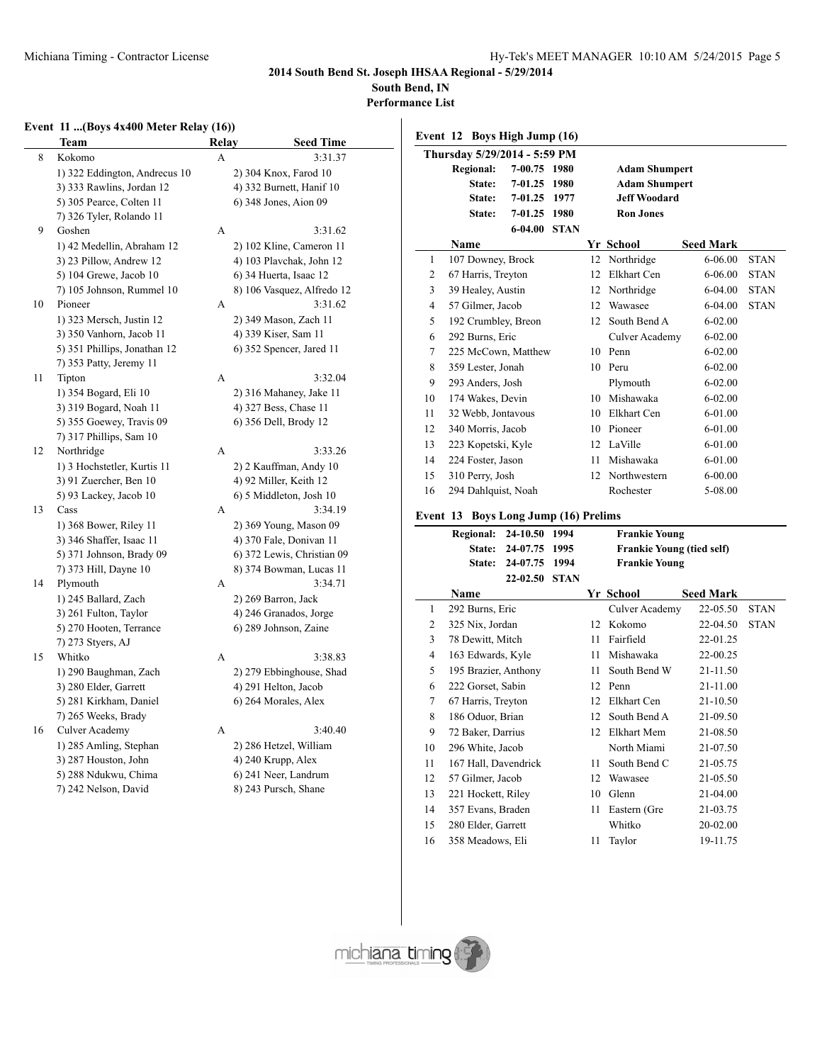$\overline{a}$ 

**2014 South Bend St. Joseph IHSAA Regional - 5/29/2014**

**South Bend, IN**

**Performance List**

### **Event 11 ...(Boys 4x400 Meter Relay (16))**

|    | Team                          | Relay | <b>Seed Time</b>           |
|----|-------------------------------|-------|----------------------------|
| 8  | Kokomo                        | A     | 3:31.37                    |
|    | 1) 322 Eddington, Andrecus 10 |       | 2) 304 Knox, Farod 10      |
|    | 3) 333 Rawlins, Jordan 12     |       | 4) 332 Burnett, Hanif 10   |
|    | 5) 305 Pearce, Colten 11      |       | 6) 348 Jones, Aion 09      |
|    | 7) 326 Tyler, Rolando 11      |       |                            |
| 9  | Goshen                        | A     | 3:31.62                    |
|    | 1) 42 Medellin, Abraham 12    |       | 2) 102 Kline, Cameron 11   |
|    | 3) 23 Pillow, Andrew 12       |       | 4) 103 Plavchak, John 12   |
|    | 5) 104 Grewe, Jacob 10        |       | 6) 34 Huerta, Isaac 12     |
|    | 7) 105 Johnson, Rummel 10     |       | 8) 106 Vasquez, Alfredo 12 |
| 10 | Pioneer                       | А     | 3:31.62                    |
|    | 1) 323 Mersch, Justin 12      |       | 2) 349 Mason, Zach 11      |
|    | 3) 350 Vanhorn, Jacob 11      |       | 4) 339 Kiser, Sam 11       |
|    | 5) 351 Phillips, Jonathan 12  |       | 6) 352 Spencer, Jared 11   |
|    | 7) 353 Patty, Jeremy 11       |       |                            |
| 11 | Tipton                        | A     | 3:32.04                    |
|    | 1) 354 Bogard, Eli 10         |       | 2) 316 Mahaney, Jake 11    |
|    | 3) 319 Bogard, Noah 11        |       | 4) 327 Bess, Chase 11      |
|    | 5) 355 Goewey, Travis 09      |       | 6) 356 Dell, Brody 12      |
|    | 7) 317 Phillips, Sam 10       |       |                            |
| 12 | Northridge                    | A     | 3:33.26                    |
|    | 1) 3 Hochstetler, Kurtis 11   |       | 2) 2 Kauffman, Andy 10     |
|    | 3) 91 Zuercher, Ben 10        |       | 4) 92 Miller, Keith 12     |
|    | 5) 93 Lackey, Jacob 10        |       | 6) 5 Middleton, Josh 10    |
| 13 | Cass                          | A     | 3:34.19                    |
|    | 1) 368 Bower, Riley 11        |       | 2) 369 Young, Mason 09     |
|    | 3) 346 Shaffer, Isaac 11      |       | 4) 370 Fale, Donivan 11    |
|    | 5) 371 Johnson, Brady 09      |       | 6) 372 Lewis, Christian 09 |
|    | 7) 373 Hill, Dayne 10         |       | 8) 374 Bowman, Lucas 11    |
| 14 | Plymouth                      | А     | 3:34.71                    |
|    | 1) 245 Ballard, Zach          |       | 2) 269 Barron, Jack        |
|    | 3) 261 Fulton, Taylor         |       | 4) 246 Granados, Jorge     |
|    | 5) 270 Hooten, Terrance       |       | 6) 289 Johnson, Zaine      |
|    | 7) 273 Styers, AJ             |       |                            |
| 15 | Whitko                        | A     | 3:38.83                    |
|    | 1) 290 Baughman, Zach         |       | 2) 279 Ebbinghouse, Shad   |
|    | 3) 280 Elder, Garrett         |       | 4) 291 Helton, Jacob       |
|    | 5) 281 Kirkham, Daniel        |       | 6) 264 Morales, Alex       |
|    | 7) 265 Weeks, Brady           |       |                            |
| 16 | Culver Academy                | A     | 3:40.40                    |
|    | 1) 285 Amling, Stephan        |       | 2) 286 Hetzel, William     |
|    | 3) 287 Houston, John          |       | 4) 240 Krupp, Alex         |
|    | 5) 288 Ndukwu, Chima          |       | 6) 241 Neer, Landrum       |
|    | 7) 242 Nelson, David          |       | 8) 243 Pursch, Shane       |
|    |                               |       |                            |

|                              | Event 12 Boys High Jump (16) |                                    |             |    |                                  |                  |             |  |  |
|------------------------------|------------------------------|------------------------------------|-------------|----|----------------------------------|------------------|-------------|--|--|
| Thursday 5/29/2014 - 5:59 PM |                              |                                    |             |    |                                  |                  |             |  |  |
|                              | <b>Regional:</b>             | 7-00.75                            | 1980        |    | <b>Adam Shumpert</b>             |                  |             |  |  |
|                              | State:                       | 7-01.25                            | 1980        |    | <b>Adam Shumpert</b>             |                  |             |  |  |
|                              | State:                       | 7-01.25                            | 1977        |    | <b>Jeff Woodard</b>              |                  |             |  |  |
|                              | State:                       | 7-01.25                            | 1980        |    | <b>Ron Jones</b>                 |                  |             |  |  |
|                              |                              | 6-04.00                            | <b>STAN</b> |    |                                  |                  |             |  |  |
|                              | Name                         |                                    |             |    | Yr School                        | <b>Seed Mark</b> |             |  |  |
| 1                            | 107 Downey, Brock            |                                    |             | 12 | Northridge                       | 6-06.00          | <b>STAN</b> |  |  |
| 2                            | 67 Harris, Treyton           |                                    |             | 12 | Elkhart Cen                      | $6 - 06.00$      | <b>STAN</b> |  |  |
| 3                            | 39 Healey, Austin            |                                    |             | 12 | Northridge                       | 6-04.00          | STAN        |  |  |
| 4                            | 57 Gilmer, Jacob             |                                    |             | 12 | Wawasee                          | 6-04.00          | <b>STAN</b> |  |  |
| 5                            | 192 Crumbley, Breon          |                                    |             | 12 | South Bend A                     | $6 - 02.00$      |             |  |  |
| 6                            | 292 Burns, Eric              |                                    |             |    | Culver Academy                   | $6 - 02.00$      |             |  |  |
| 7                            | 225 McCown, Matthew          |                                    |             |    | 10 Penn                          | $6 - 02.00$      |             |  |  |
| 8                            | 359 Lester, Jonah            |                                    |             |    | 10 Peru                          | $6 - 02.00$      |             |  |  |
| 9                            | 293 Anders, Josh             |                                    |             |    | Plymouth                         | $6 - 02.00$      |             |  |  |
| 10                           | 174 Wakes, Devin             |                                    |             |    | 10 Mishawaka                     | $6 - 02.00$      |             |  |  |
| 11                           | 32 Webb, Jontavous           |                                    |             | 10 | <b>Elkhart Cen</b>               | 6-01.00          |             |  |  |
| 12                           | 340 Morris, Jacob            |                                    |             | 10 | Pioneer                          | 6-01.00          |             |  |  |
| 13                           | 223 Kopetski, Kyle           |                                    |             | 12 | LaVille                          | 6-01.00          |             |  |  |
| 14                           | 224 Foster, Jason            |                                    |             | 11 | Mishawaka                        | 6-01.00          |             |  |  |
| 15                           | 310 Perry, Josh              |                                    |             | 12 | Northwestern                     | $6 - 00.00$      |             |  |  |
| 16                           | 294 Dahlquist, Noah          |                                    |             |    | Rochester                        | 5-08.00          |             |  |  |
| Event 13                     |                              | <b>Boys Long Jump (16) Prelims</b> |             |    |                                  |                  |             |  |  |
|                              | <b>Regional:</b>             | 24-10.50                           | 1994        |    | <b>Frankie Young</b>             |                  |             |  |  |
|                              | State:                       | 24-07.75                           | 1995        |    | <b>Frankie Young (tied self)</b> |                  |             |  |  |
|                              | State:                       | 24-07.75                           | 1994        |    | <b>Frankie Young</b>             |                  |             |  |  |
|                              |                              | 22-02.50                           | <b>STAN</b> |    |                                  |                  |             |  |  |
|                              | <b>Name</b>                  |                                    |             |    | Yr School                        | <b>Seed Mark</b> |             |  |  |
| 1                            | 292 Burns, Eric              |                                    |             |    | Culver Academy                   | 22-05.50         | <b>STAN</b> |  |  |
| $\overline{2}$               | 325 Nix, Jordan              |                                    |             | 12 | Kokomo                           | 22-04.50         | <b>STAN</b> |  |  |
| 3                            | 78 Dewitt, Mitch             |                                    |             | 11 | Fairfield                        | 22-01.25         |             |  |  |
| $\overline{4}$               | 163 Edwards, Kyle            |                                    |             | 11 | Mishawaka                        | 22-00.25         |             |  |  |
| 5                            | 195 Brazier, Anthony         |                                    |             | 11 | South Bend W                     | 21-11.50         |             |  |  |
| 6                            | 222 Gorset, Sabin            |                                    |             | 12 | Penn                             | 21-11.00         |             |  |  |
| 7                            | 67 Harris, Treyton           |                                    |             | 12 | <b>Elkhart Cen</b>               | 21-10.50         |             |  |  |
| 8                            | 186 Oduor, Brian             |                                    |             | 12 | South Bend A                     | 21-09.50         |             |  |  |
| 9                            | 72 Baker, Darrius            |                                    |             | 12 | Elkhart Mem                      | 21-08.50         |             |  |  |
| 10                           | 296 White, Jacob             |                                    |             |    | North Miami                      | 21-07.50         |             |  |  |
| 11                           | 167 Hall, Davendrick         |                                    |             | 11 | South Bend C                     | 21-05.75         |             |  |  |

 57 Gilmer, Jacob 12 Wawasee 21-05.50 221 Hockett, Riley 10 Glenn 21-04.00 357 Evans, Braden 11 Eastern (Gre 21-03.75 280 Elder, Garrett Whitko 20-02.00